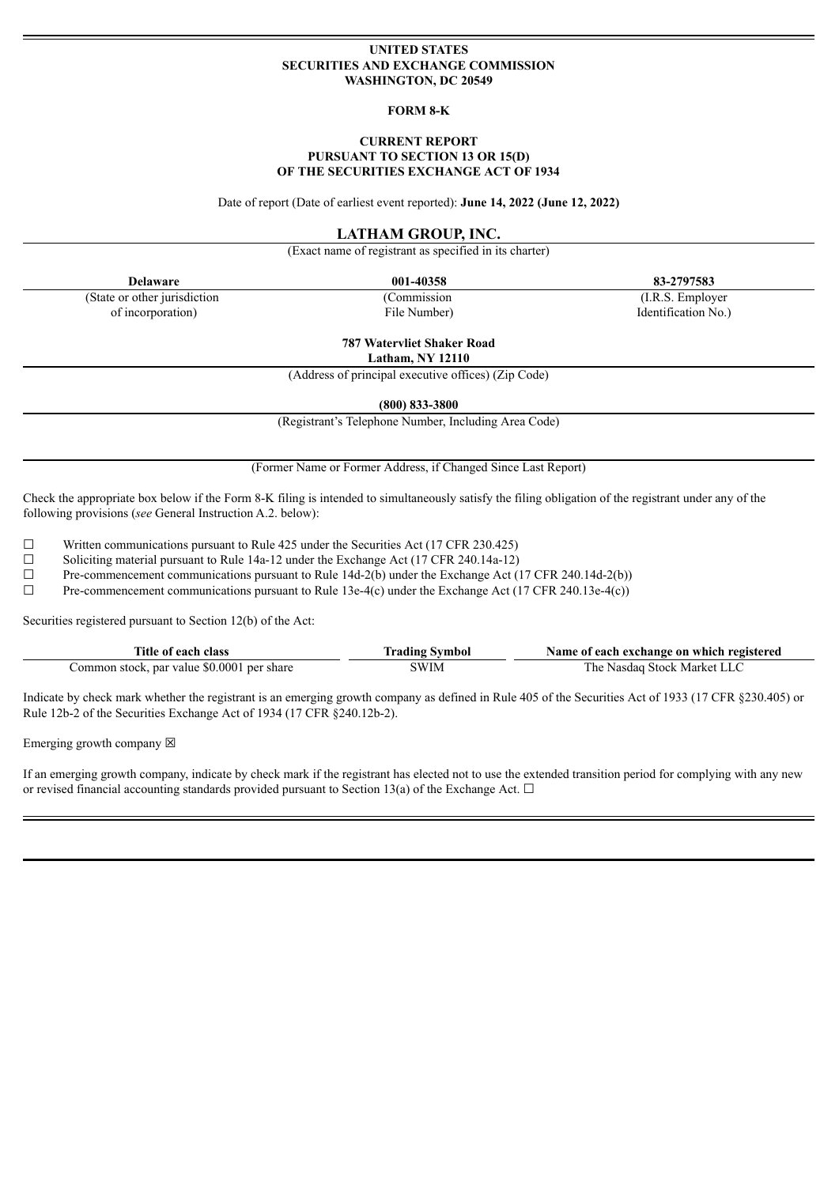## **UNITED STATES SECURITIES AND EXCHANGE COMMISSION WASHINGTON, DC 20549**

### **FORM 8-K**

### **CURRENT REPORT PURSUANT TO SECTION 13 OR 15(D) OF THE SECURITIES EXCHANGE ACT OF 1934**

Date of report (Date of earliest event reported): **June 14, 2022 (June 12, 2022)**

## **LATHAM GROUP, INC.**

(Exact name of registrant as specified in its charter)

**Delaware 001-40358 83-2797583**

(State or other jurisdiction of incorporation)

(Commission File Number)

(I.R.S. Employer Identification No.)

# **787 Watervliet Shaker Road**

**Latham, NY 12110**

(Address of principal executive offices) (Zip Code)

**(800) 833-3800**

(Registrant's Telephone Number, Including Area Code)

(Former Name or Former Address, if Changed Since Last Report)

Check the appropriate box below if the Form 8-K filing is intended to simultaneously satisfy the filing obligation of the registrant under any of the following provisions (*see* General Instruction A.2. below):

 $\Box$  Written communications pursuant to Rule 425 under the Securities Act (17 CFR 230.425)<br>
Soliciting material pursuant to Rule 14a-12 under the Exchange Act (17 CFR 240.14a-12)

Soliciting material pursuant to Rule 14a-12 under the Exchange Act (17 CFR 240.14a-12)

☐ Pre-commencement communications pursuant to Rule 14d-2(b) under the Exchange Act (17 CFR 240.14d-2(b))

☐ Pre-commencement communications pursuant to Rule 13e-4(c) under the Exchange Act (17 CFR 240.13e-4(c))

Securities registered pursuant to Section 12(b) of the Act:

| Title of each class                        | <b>Trading Symbol</b> | Name of each exchange on which registered |
|--------------------------------------------|-----------------------|-------------------------------------------|
| Common stock, par value \$0.0001 per share | 3WIM                  | The Nasdaq Stock Market LLC               |

Indicate by check mark whether the registrant is an emerging growth company as defined in Rule 405 of the Securities Act of 1933 (17 CFR §230.405) or Rule 12b-2 of the Securities Exchange Act of 1934 (17 CFR §240.12b-2).

Emerging growth company  $\boxtimes$ 

If an emerging growth company, indicate by check mark if the registrant has elected not to use the extended transition period for complying with any new or revised financial accounting standards provided pursuant to Section 13(a) of the Exchange Act.  $\Box$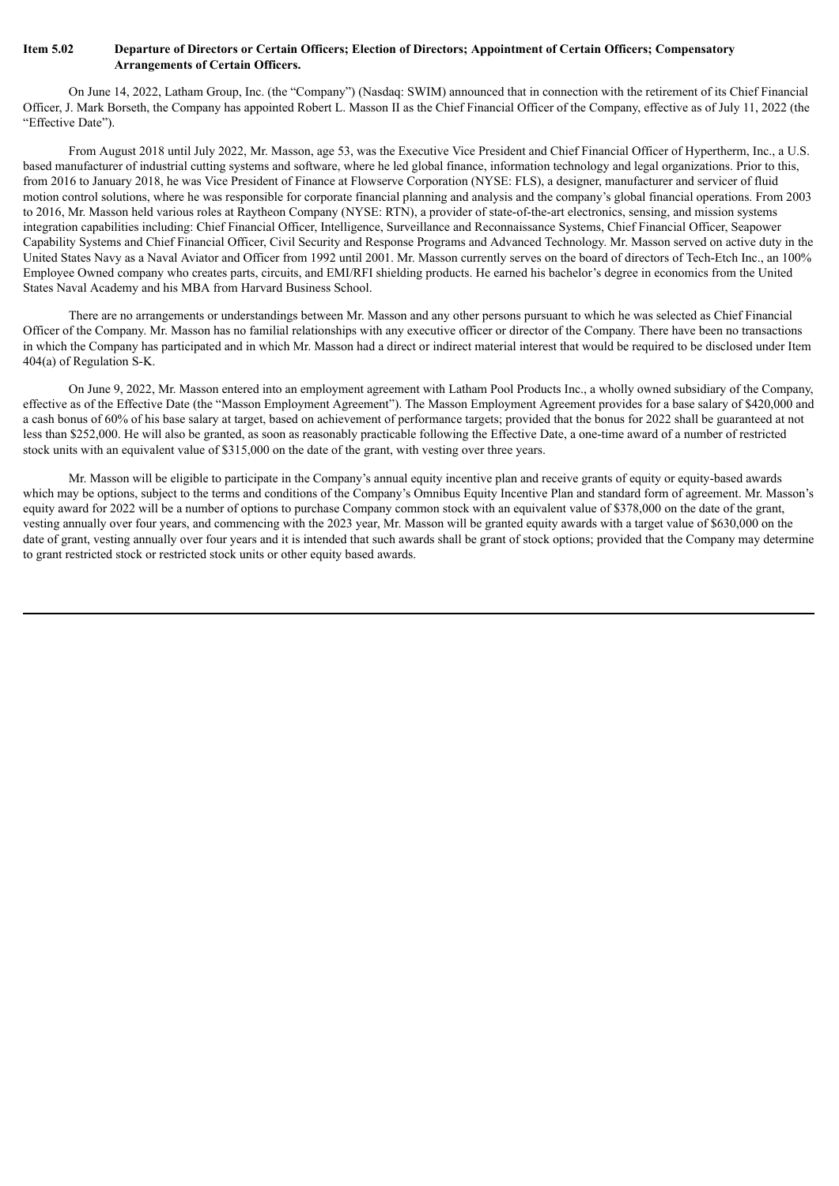## Item 5.02 Departure of Directors or Certain Officers; Election of Directors; Appointment of Certain Officers; Compensatory **Arrangements of Certain Officers.**

On June 14, 2022, Latham Group, Inc. (the "Company") (Nasdaq: SWIM) announced that in connection with the retirement of its Chief Financial Officer, J. Mark Borseth, the Company has appointed Robert L. Masson II as the Chief Financial Officer of the Company, effective as of July 11, 2022 (the "Effective Date").

From August 2018 until July 2022, Mr. Masson, age 53, was the Executive Vice President and Chief Financial Officer of Hypertherm, Inc., a U.S. based manufacturer of industrial cutting systems and software, where he led global finance, information technology and legal organizations. Prior to this, from 2016 to January 2018, he was Vice President of Finance at Flowserve Corporation (NYSE: FLS), a designer, manufacturer and servicer of fluid motion control solutions, where he was responsible for corporate financial planning and analysis and the company's global financial operations. From 2003 to 2016, Mr. Masson held various roles at Raytheon Company (NYSE: RTN), a provider of state-of-the-art electronics, sensing, and mission systems integration capabilities including: Chief Financial Officer, Intelligence, Surveillance and Reconnaissance Systems, Chief Financial Officer, Seapower Capability Systems and Chief Financial Officer, Civil Security and Response Programs and Advanced Technology. Mr. Masson served on active duty in the United States Navy as a Naval Aviator and Officer from 1992 until 2001. Mr. Masson currently serves on the board of directors of Tech-Etch Inc., an 100% Employee Owned company who creates parts, circuits, and EMI/RFI shielding products. He earned his bachelor's degree in economics from the United States Naval Academy and his MBA from Harvard Business School.

There are no arrangements or understandings between Mr. Masson and any other persons pursuant to which he was selected as Chief Financial Officer of the Company. Mr. Masson has no familial relationships with any executive officer or director of the Company. There have been no transactions in which the Company has participated and in which Mr. Masson had a direct or indirect material interest that would be required to be disclosed under Item 404(a) of Regulation S-K.

On June 9, 2022, Mr. Masson entered into an employment agreement with Latham Pool Products Inc., a wholly owned subsidiary of the Company, effective as of the Effective Date (the "Masson Employment Agreement"). The Masson Employment Agreement provides for a base salary of \$420,000 and a cash bonus of 60% of his base salary at target, based on achievement of performance targets; provided that the bonus for 2022 shall be guaranteed at not less than \$252,000. He will also be granted, as soon as reasonably practicable following the Effective Date, a one-time award of a number of restricted stock units with an equivalent value of \$315,000 on the date of the grant, with vesting over three years.

Mr. Masson will be eligible to participate in the Company's annual equity incentive plan and receive grants of equity or equity-based awards which may be options, subject to the terms and conditions of the Company's Omnibus Equity Incentive Plan and standard form of agreement. Mr. Masson's equity award for 2022 will be a number of options to purchase Company common stock with an equivalent value of \$378,000 on the date of the grant, vesting annually over four years, and commencing with the 2023 year, Mr. Masson will be granted equity awards with a target value of \$630,000 on the date of grant, vesting annually over four years and it is intended that such awards shall be grant of stock options; provided that the Company may determine to grant restricted stock or restricted stock units or other equity based awards.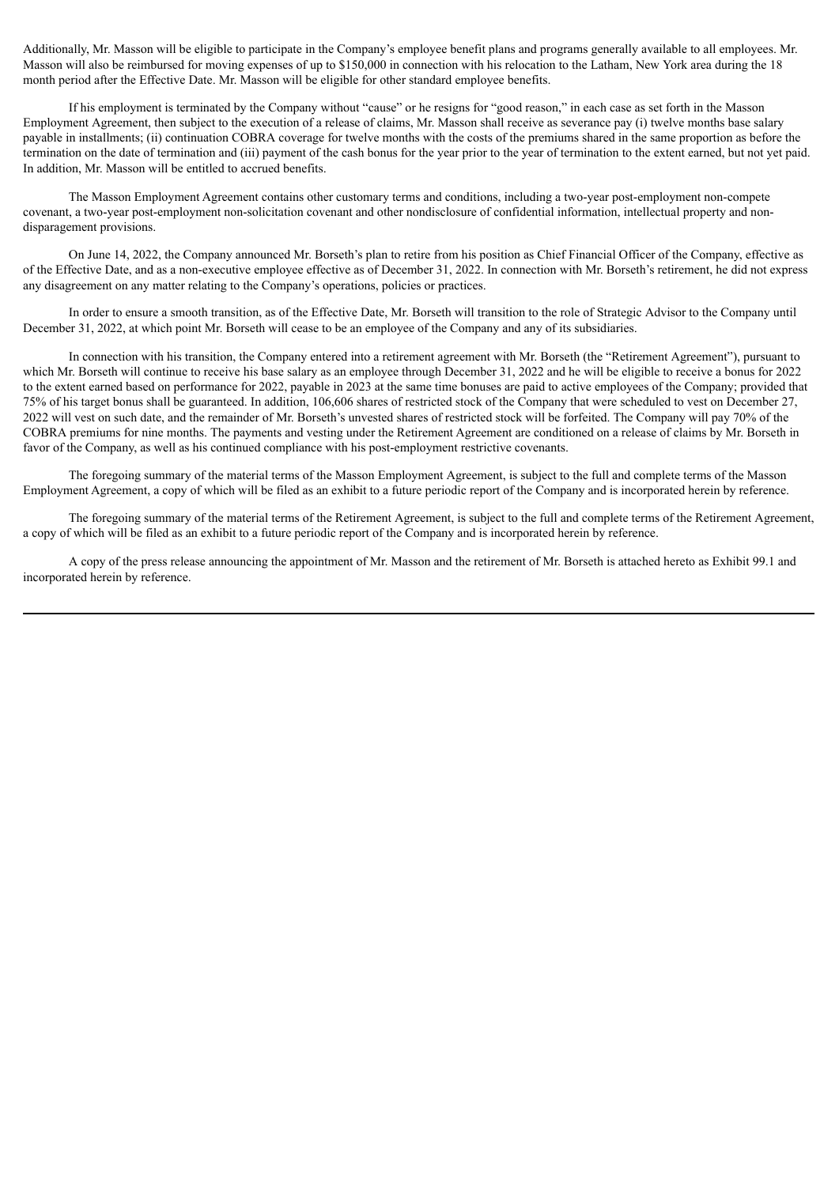Additionally, Mr. Masson will be eligible to participate in the Company's employee benefit plans and programs generally available to all employees. Mr. Masson will also be reimbursed for moving expenses of up to \$150,000 in connection with his relocation to the Latham, New York area during the 18 month period after the Effective Date. Mr. Masson will be eligible for other standard employee benefits.

If his employment is terminated by the Company without "cause" or he resigns for "good reason," in each case as set forth in the Masson Employment Agreement, then subject to the execution of a release of claims, Mr. Masson shall receive as severance pay (i) twelve months base salary payable in installments; (ii) continuation COBRA coverage for twelve months with the costs of the premiums shared in the same proportion as before the termination on the date of termination and (iii) payment of the cash bonus for the year prior to the year of termination to the extent earned, but not yet paid. In addition, Mr. Masson will be entitled to accrued benefits.

The Masson Employment Agreement contains other customary terms and conditions, including a two-year post-employment non-compete covenant, a two-year post-employment non-solicitation covenant and other nondisclosure of confidential information, intellectual property and nondisparagement provisions.

On June 14, 2022, the Company announced Mr. Borseth's plan to retire from his position as Chief Financial Officer of the Company, effective as of the Effective Date, and as a non-executive employee effective as of December 31, 2022. In connection with Mr. Borseth's retirement, he did not express any disagreement on any matter relating to the Company's operations, policies or practices.

In order to ensure a smooth transition, as of the Effective Date, Mr. Borseth will transition to the role of Strategic Advisor to the Company until December 31, 2022, at which point Mr. Borseth will cease to be an employee of the Company and any of its subsidiaries.

In connection with his transition, the Company entered into a retirement agreement with Mr. Borseth (the "Retirement Agreement"), pursuant to which Mr. Borseth will continue to receive his base salary as an employee through December 31, 2022 and he will be eligible to receive a bonus for 2022 to the extent earned based on performance for 2022, payable in 2023 at the same time bonuses are paid to active employees of the Company; provided that 75% of his target bonus shall be guaranteed. In addition, 106,606 shares of restricted stock of the Company that were scheduled to vest on December 27, 2022 will vest on such date, and the remainder of Mr. Borseth's unvested shares of restricted stock will be forfeited. The Company will pay 70% of the COBRA premiums for nine months. The payments and vesting under the Retirement Agreement are conditioned on a release of claims by Mr. Borseth in favor of the Company, as well as his continued compliance with his post-employment restrictive covenants.

The foregoing summary of the material terms of the Masson Employment Agreement, is subject to the full and complete terms of the Masson Employment Agreement, a copy of which will be filed as an exhibit to a future periodic report of the Company and is incorporated herein by reference.

The foregoing summary of the material terms of the Retirement Agreement, is subject to the full and complete terms of the Retirement Agreement, a copy of which will be filed as an exhibit to a future periodic report of the Company and is incorporated herein by reference.

A copy of the press release announcing the appointment of Mr. Masson and the retirement of Mr. Borseth is attached hereto as Exhibit 99.1 and incorporated herein by reference.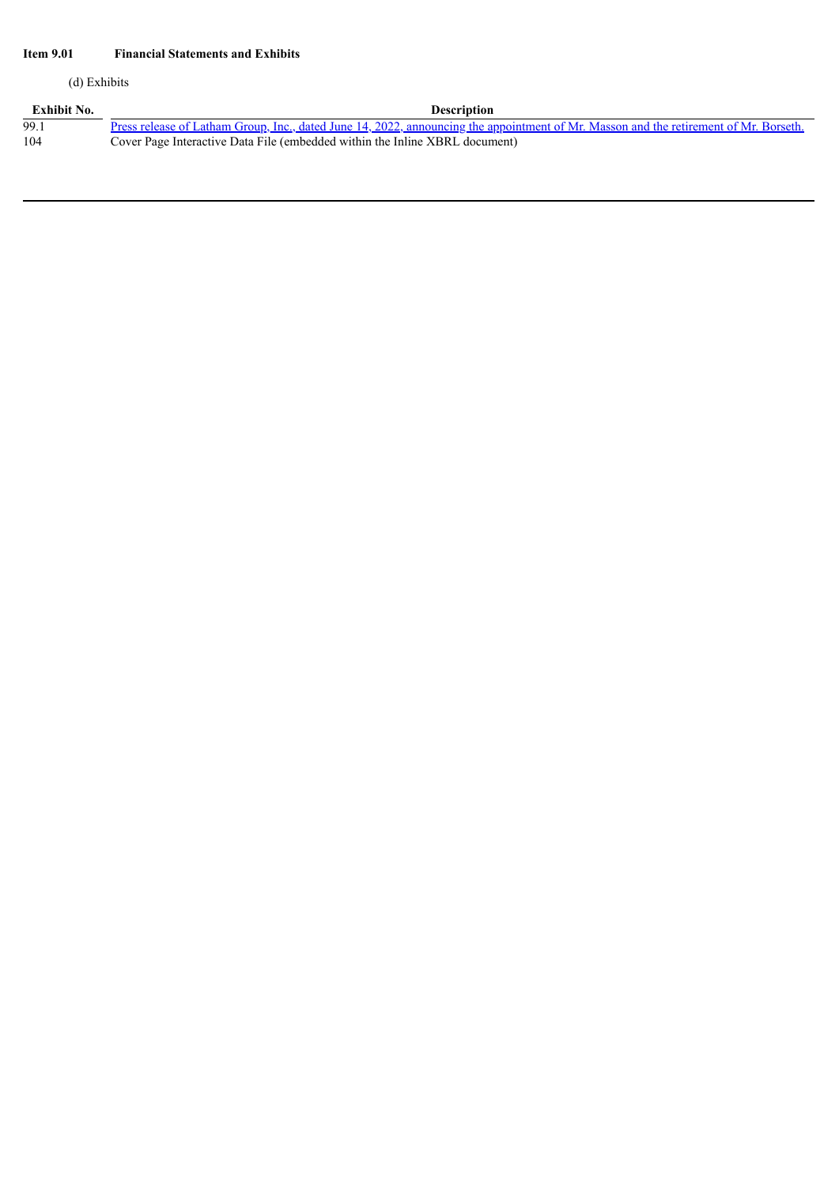## **Item 9.01 Financial Statements and Exhibits**

(d) Exhibits

| Exhibit No. | <b>Description</b>                                                                                                                    |
|-------------|---------------------------------------------------------------------------------------------------------------------------------------|
| 99.1        | Press release of Latham Group, Inc., dated June 14, 2022, announcing the appointment of Mr. Masson and the retirement of Mr. Borseth. |
| 104         | Cover Page Interactive Data File (embedded within the Inline XBRL document)                                                           |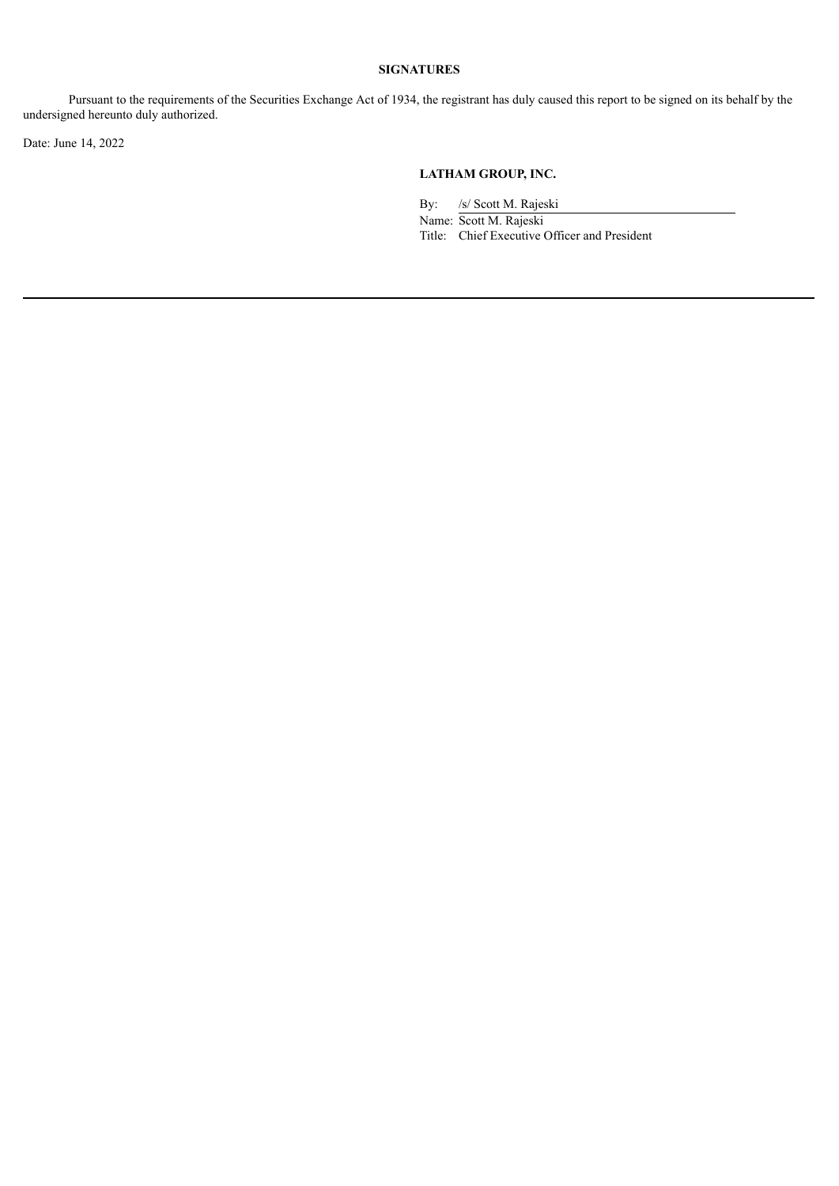## **SIGNATURES**

Pursuant to the requirements of the Securities Exchange Act of 1934, the registrant has duly caused this report to be signed on its behalf by the undersigned hereunto duly authorized.

Date: June 14, 2022

## **LATHAM GROUP, INC.**

By: /s/ Scott M. Rajeski

Name: Scott M. Rajeski Title: Chief Executive Officer and President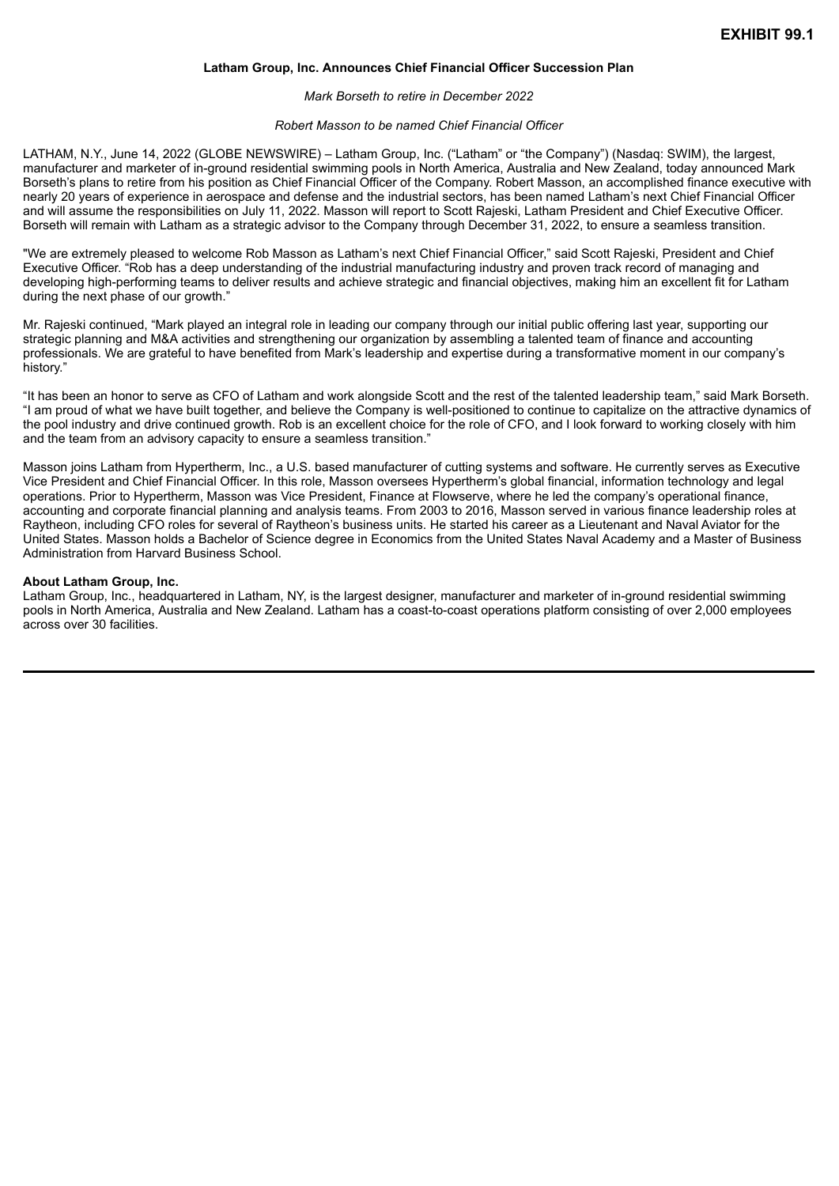## **Latham Group, Inc. Announces Chief Financial Officer Succession Plan**

#### *Mark Borseth to retire in December 2022*

### *Robert Masson to be named Chief Financial Officer*

<span id="page-5-0"></span>LATHAM, N.Y., June 14, 2022 (GLOBE NEWSWIRE) – Latham Group, Inc. ("Latham" or "the Company") (Nasdaq: SWIM), the largest, manufacturer and marketer of in-ground residential swimming pools in North America, Australia and New Zealand, today announced Mark Borseth's plans to retire from his position as Chief Financial Officer of the Company. Robert Masson, an accomplished finance executive with nearly 20 years of experience in aerospace and defense and the industrial sectors, has been named Latham's next Chief Financial Officer and will assume the responsibilities on July 11, 2022. Masson will report to Scott Rajeski, Latham President and Chief Executive Officer. Borseth will remain with Latham as a strategic advisor to the Company through December 31, 2022, to ensure a seamless transition.

"We are extremely pleased to welcome Rob Masson as Latham's next Chief Financial Officer," said Scott Rajeski, President and Chief Executive Officer. "Rob has a deep understanding of the industrial manufacturing industry and proven track record of managing and developing high-performing teams to deliver results and achieve strategic and financial objectives, making him an excellent fit for Latham during the next phase of our growth."

Mr. Rajeski continued, "Mark played an integral role in leading our company through our initial public offering last year, supporting our strategic planning and M&A activities and strengthening our organization by assembling a talented team of finance and accounting professionals. We are grateful to have benefited from Mark's leadership and expertise during a transformative moment in our company's history."

"It has been an honor to serve as CFO of Latham and work alongside Scott and the rest of the talented leadership team," said Mark Borseth. "I am proud of what we have built together, and believe the Company is well-positioned to continue to capitalize on the attractive dynamics of the pool industry and drive continued growth. Rob is an excellent choice for the role of CFO, and I look forward to working closely with him and the team from an advisory capacity to ensure a seamless transition."

Masson joins Latham from Hypertherm, Inc., a U.S. based manufacturer of cutting systems and software. He currently serves as Executive Vice President and Chief Financial Officer. In this role, Masson oversees Hypertherm's global financial, information technology and legal operations. Prior to Hypertherm, Masson was Vice President, Finance at Flowserve, where he led the company's operational finance, accounting and corporate financial planning and analysis teams. From 2003 to 2016, Masson served in various finance leadership roles at Raytheon, including CFO roles for several of Raytheon's business units. He started his career as a Lieutenant and Naval Aviator for the United States. Masson holds a Bachelor of Science degree in Economics from the United States Naval Academy and a Master of Business Administration from Harvard Business School.

### **About Latham Group, Inc.**

Latham Group, Inc., headquartered in Latham, NY, is the largest designer, manufacturer and marketer of in-ground residential swimming pools in North America, Australia and New Zealand. Latham has a coast-to-coast operations platform consisting of over 2,000 employees across over 30 facilities.